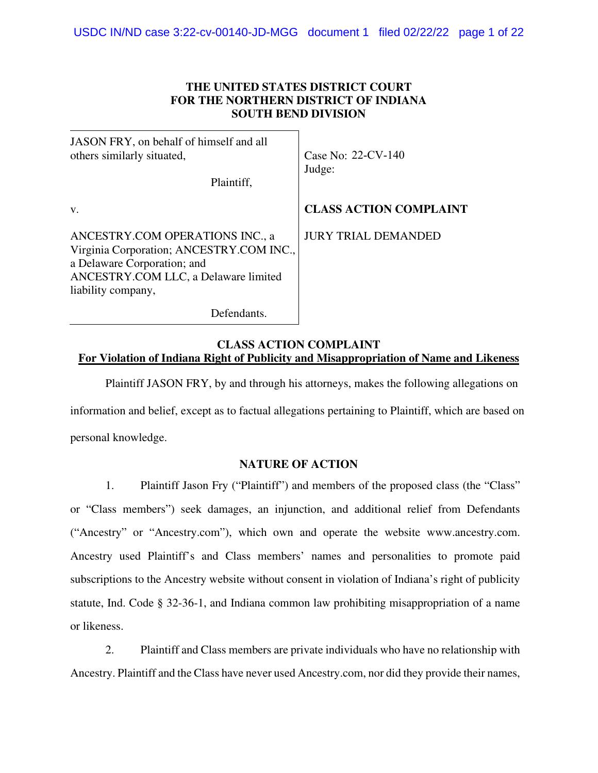## **THE UNITED STATES DISTRICT COURT FOR THE NORTHERN DISTRICT OF INDIANA SOUTH BEND DIVISION**

| JASON FRY, on behalf of himself and all<br>others similarly situated,<br>Plaintiff,                                                                                      | Case No: 22-CV-140<br>Judge:  |
|--------------------------------------------------------------------------------------------------------------------------------------------------------------------------|-------------------------------|
| V.                                                                                                                                                                       | <b>CLASS ACTION COMPLAINT</b> |
| ANCESTRY.COM OPERATIONS INC., a<br>Virginia Corporation; ANCESTRY.COM INC.,<br>a Delaware Corporation; and<br>ANCESTRY.COM LLC, a Delaware limited<br>liability company, | <b>JURY TRIAL DEMANDED</b>    |
| Defendants.                                                                                                                                                              |                               |

## **CLASS ACTION COMPLAINT For Violation of Indiana Right of Publicity and Misappropriation of Name and Likeness**

Plaintiff JASON FRY, by and through his attorneys, makes the following allegations on information and belief, except as to factual allegations pertaining to Plaintiff, which are based on personal knowledge.

# **NATURE OF ACTION**

1. Plaintiff Jason Fry ("Plaintiff") and members of the proposed class (the "Class" or "Class members") seek damages, an injunction, and additional relief from Defendants ("Ancestry" or "Ancestry.com"), which own and operate the website www.ancestry.com. Ancestry used Plaintiff's and Class members' names and personalities to promote paid subscriptions to the Ancestry website without consent in violation of Indiana's right of publicity statute, Ind. Code § 32-36-1, and Indiana common law prohibiting misappropriation of a name or likeness.

2. Plaintiff and Class members are private individuals who have no relationship with Ancestry. Plaintiff and the Class have never used Ancestry.com, nor did they provide their names,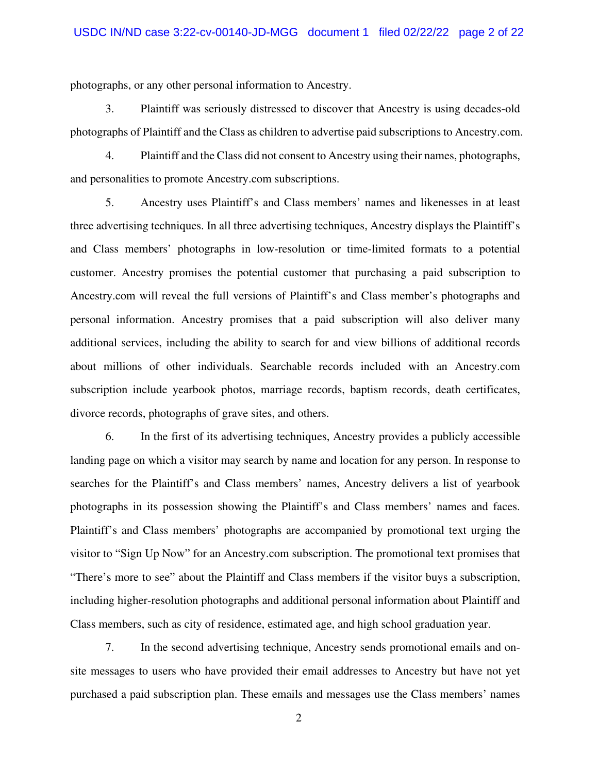photographs, or any other personal information to Ancestry.

3. Plaintiff was seriously distressed to discover that Ancestry is using decades-old photographs of Plaintiff and the Class as children to advertise paid subscriptions to Ancestry.com.

4. Plaintiff and the Class did not consent to Ancestry using their names, photographs, and personalities to promote Ancestry.com subscriptions.

5. Ancestry uses Plaintiff's and Class members' names and likenesses in at least three advertising techniques. In all three advertising techniques, Ancestry displays the Plaintiff's and Class members' photographs in low-resolution or time-limited formats to a potential customer. Ancestry promises the potential customer that purchasing a paid subscription to Ancestry.com will reveal the full versions of Plaintiff's and Class member's photographs and personal information. Ancestry promises that a paid subscription will also deliver many additional services, including the ability to search for and view billions of additional records about millions of other individuals. Searchable records included with an Ancestry.com subscription include yearbook photos, marriage records, baptism records, death certificates, divorce records, photographs of grave sites, and others.

6. In the first of its advertising techniques, Ancestry provides a publicly accessible landing page on which a visitor may search by name and location for any person. In response to searches for the Plaintiff's and Class members' names, Ancestry delivers a list of yearbook photographs in its possession showing the Plaintiff's and Class members' names and faces. Plaintiff's and Class members' photographs are accompanied by promotional text urging the visitor to "Sign Up Now" for an Ancestry.com subscription. The promotional text promises that "There's more to see" about the Plaintiff and Class members if the visitor buys a subscription, including higher-resolution photographs and additional personal information about Plaintiff and Class members, such as city of residence, estimated age, and high school graduation year.

7. In the second advertising technique, Ancestry sends promotional emails and onsite messages to users who have provided their email addresses to Ancestry but have not yet purchased a paid subscription plan. These emails and messages use the Class members' names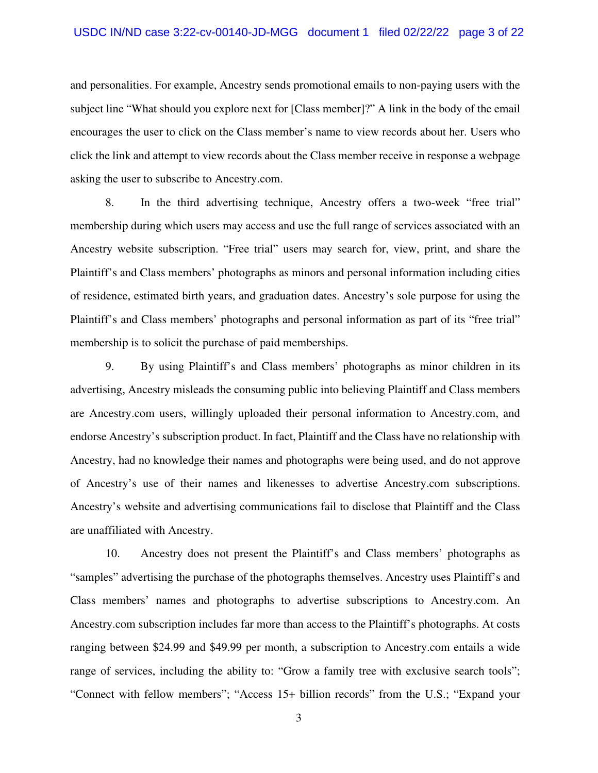and personalities. For example, Ancestry sends promotional emails to non-paying users with the subject line "What should you explore next for [Class member]?" A link in the body of the email encourages the user to click on the Class member's name to view records about her. Users who click the link and attempt to view records about the Class member receive in response a webpage asking the user to subscribe to Ancestry.com.

8. In the third advertising technique, Ancestry offers a two-week "free trial" membership during which users may access and use the full range of services associated with an Ancestry website subscription. "Free trial" users may search for, view, print, and share the Plaintiff's and Class members' photographs as minors and personal information including cities of residence, estimated birth years, and graduation dates. Ancestry's sole purpose for using the Plaintiff's and Class members' photographs and personal information as part of its "free trial" membership is to solicit the purchase of paid memberships.

9. By using Plaintiff's and Class members' photographs as minor children in its advertising, Ancestry misleads the consuming public into believing Plaintiff and Class members are Ancestry.com users, willingly uploaded their personal information to Ancestry.com, and endorse Ancestry's subscription product. In fact, Plaintiff and the Class have no relationship with Ancestry, had no knowledge their names and photographs were being used, and do not approve of Ancestry's use of their names and likenesses to advertise Ancestry.com subscriptions. Ancestry's website and advertising communications fail to disclose that Plaintiff and the Class are unaffiliated with Ancestry.

10. Ancestry does not present the Plaintiff's and Class members' photographs as "samples" advertising the purchase of the photographs themselves. Ancestry uses Plaintiff's and Class members' names and photographs to advertise subscriptions to Ancestry.com. An Ancestry.com subscription includes far more than access to the Plaintiff's photographs. At costs ranging between \$24.99 and \$49.99 per month, a subscription to Ancestry.com entails a wide range of services, including the ability to: "Grow a family tree with exclusive search tools"; "Connect with fellow members"; "Access 15+ billion records" from the U.S.; "Expand your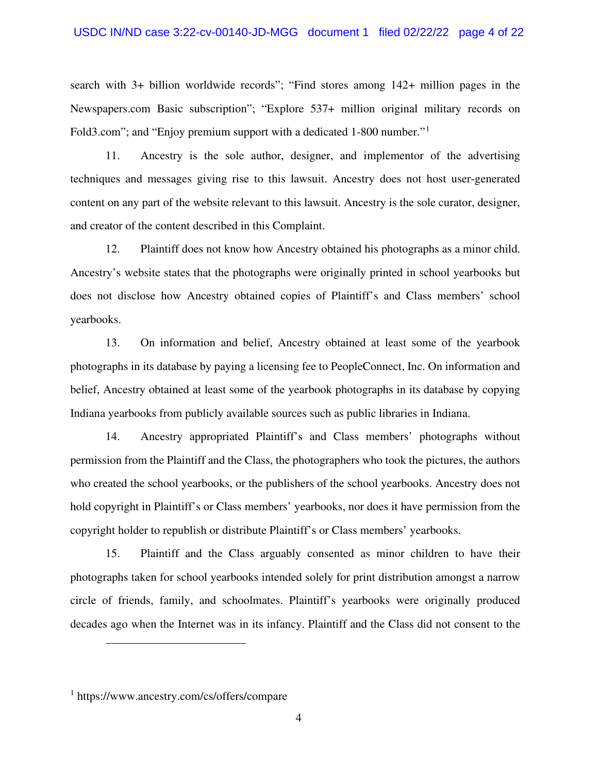#### USDC IN/ND case 3:22-cv-00140-JD-MGG document 1 filed 02/22/22 page 4 of 22

search with 3+ billion worldwide records"; "Find stores among 142+ million pages in the Newspapers.com Basic subscription"; "Explore 537+ million original military records on Fold3.com"; and "Enjoy premium support with a dedicated 1-800 number."[1](#page-3-0)

11. Ancestry is the sole author, designer, and implementor of the advertising techniques and messages giving rise to this lawsuit. Ancestry does not host user-generated content on any part of the website relevant to this lawsuit. Ancestry is the sole curator, designer, and creator of the content described in this Complaint.

12. Plaintiff does not know how Ancestry obtained his photographs as a minor child. Ancestry's website states that the photographs were originally printed in school yearbooks but does not disclose how Ancestry obtained copies of Plaintiff's and Class members' school yearbooks.

13. On information and belief, Ancestry obtained at least some of the yearbook photographs in its database by paying a licensing fee to PeopleConnect, Inc. On information and belief, Ancestry obtained at least some of the yearbook photographs in its database by copying Indiana yearbooks from publicly available sources such as public libraries in Indiana.

14. Ancestry appropriated Plaintiff's and Class members' photographs without permission from the Plaintiff and the Class, the photographers who took the pictures, the authors who created the school yearbooks, or the publishers of the school yearbooks. Ancestry does not hold copyright in Plaintiff's or Class members' yearbooks, nor does it have permission from the copyright holder to republish or distribute Plaintiff's or Class members' yearbooks.

15. Plaintiff and the Class arguably consented as minor children to have their photographs taken for school yearbooks intended solely for print distribution amongst a narrow circle of friends, family, and schoolmates. Plaintiff's yearbooks were originally produced decades ago when the Internet was in its infancy. Plaintiff and the Class did not consent to the

<span id="page-3-0"></span><sup>1</sup> https://www.ancestry.com/cs/offers/compare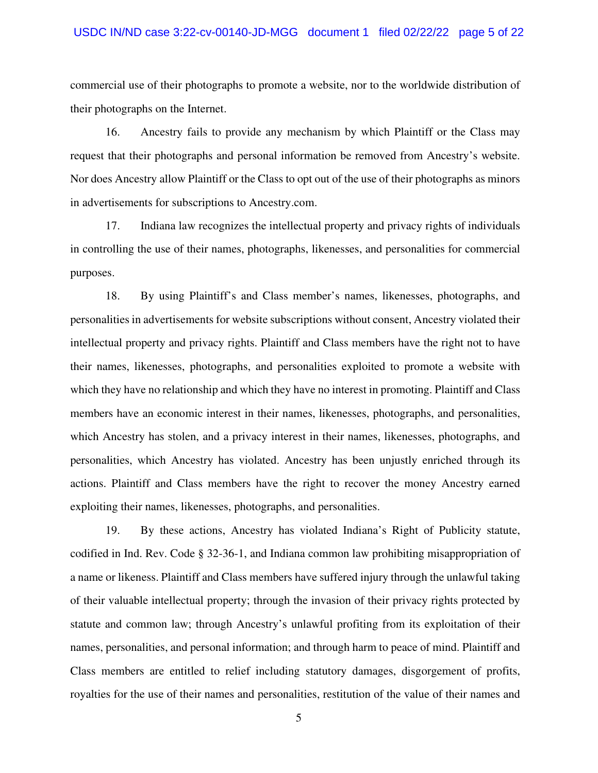#### USDC IN/ND case 3:22-cv-00140-JD-MGG document 1 filed 02/22/22 page 5 of 22

commercial use of their photographs to promote a website, nor to the worldwide distribution of their photographs on the Internet.

16. Ancestry fails to provide any mechanism by which Plaintiff or the Class may request that their photographs and personal information be removed from Ancestry's website. Nor does Ancestry allow Plaintiff or the Class to opt out of the use of their photographs as minors in advertisements for subscriptions to Ancestry.com.

17. Indiana law recognizes the intellectual property and privacy rights of individuals in controlling the use of their names, photographs, likenesses, and personalities for commercial purposes.

18. By using Plaintiff's and Class member's names, likenesses, photographs, and personalities in advertisements for website subscriptions without consent, Ancestry violated their intellectual property and privacy rights. Plaintiff and Class members have the right not to have their names, likenesses, photographs, and personalities exploited to promote a website with which they have no relationship and which they have no interest in promoting. Plaintiff and Class members have an economic interest in their names, likenesses, photographs, and personalities, which Ancestry has stolen, and a privacy interest in their names, likenesses, photographs, and personalities, which Ancestry has violated. Ancestry has been unjustly enriched through its actions. Plaintiff and Class members have the right to recover the money Ancestry earned exploiting their names, likenesses, photographs, and personalities.

19. By these actions, Ancestry has violated Indiana's Right of Publicity statute, codified in Ind. Rev. Code § 32-36-1, and Indiana common law prohibiting misappropriation of a name or likeness. Plaintiff and Class members have suffered injury through the unlawful taking of their valuable intellectual property; through the invasion of their privacy rights protected by statute and common law; through Ancestry's unlawful profiting from its exploitation of their names, personalities, and personal information; and through harm to peace of mind. Plaintiff and Class members are entitled to relief including statutory damages, disgorgement of profits, royalties for the use of their names and personalities, restitution of the value of their names and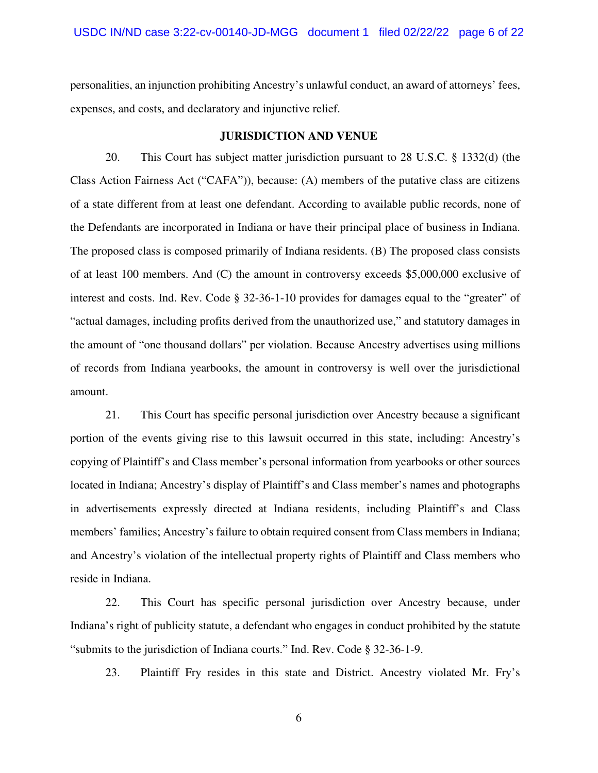personalities, an injunction prohibiting Ancestry's unlawful conduct, an award of attorneys' fees, expenses, and costs, and declaratory and injunctive relief.

### **JURISDICTION AND VENUE**

20. This Court has subject matter jurisdiction pursuant to 28 U.S.C. § 1332(d) (the Class Action Fairness Act ("CAFA")), because: (A) members of the putative class are citizens of a state different from at least one defendant. According to available public records, none of the Defendants are incorporated in Indiana or have their principal place of business in Indiana. The proposed class is composed primarily of Indiana residents. (B) The proposed class consists of at least 100 members. And (C) the amount in controversy exceeds \$5,000,000 exclusive of interest and costs. Ind. Rev. Code § 32-36-1-10 provides for damages equal to the "greater" of "actual damages, including profits derived from the unauthorized use," and statutory damages in the amount of "one thousand dollars" per violation. Because Ancestry advertises using millions of records from Indiana yearbooks, the amount in controversy is well over the jurisdictional amount.

21. This Court has specific personal jurisdiction over Ancestry because a significant portion of the events giving rise to this lawsuit occurred in this state, including: Ancestry's copying of Plaintiff's and Class member's personal information from yearbooks or other sources located in Indiana; Ancestry's display of Plaintiff's and Class member's names and photographs in advertisements expressly directed at Indiana residents, including Plaintiff's and Class members' families; Ancestry's failure to obtain required consent from Class members in Indiana; and Ancestry's violation of the intellectual property rights of Plaintiff and Class members who reside in Indiana.

22. This Court has specific personal jurisdiction over Ancestry because, under Indiana's right of publicity statute, a defendant who engages in conduct prohibited by the statute "submits to the jurisdiction of Indiana courts." Ind. Rev. Code § 32-36-1-9.

23. Plaintiff Fry resides in this state and District. Ancestry violated Mr. Fry's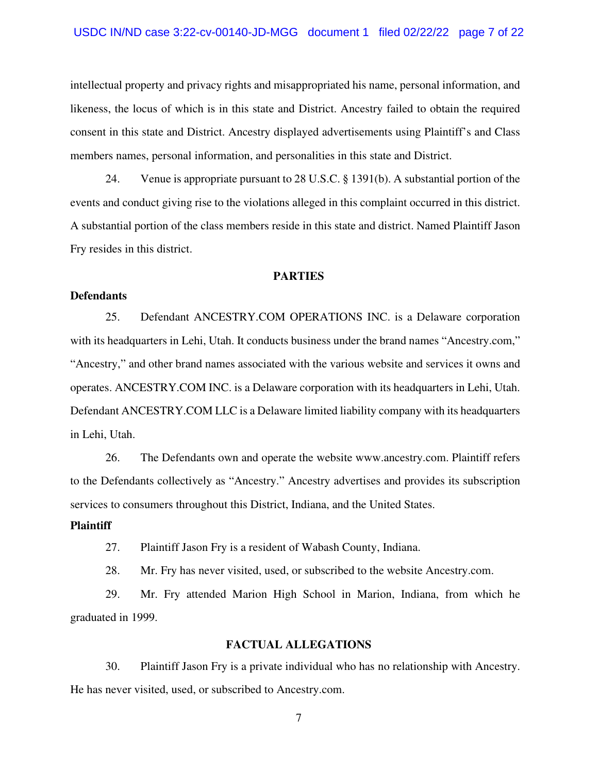#### USDC IN/ND case 3:22-cv-00140-JD-MGG document 1 filed 02/22/22 page 7 of 22

intellectual property and privacy rights and misappropriated his name, personal information, and likeness, the locus of which is in this state and District. Ancestry failed to obtain the required consent in this state and District. Ancestry displayed advertisements using Plaintiff's and Class members names, personal information, and personalities in this state and District.

24. Venue is appropriate pursuant to 28 U.S.C. § 1391(b). A substantial portion of the events and conduct giving rise to the violations alleged in this complaint occurred in this district. A substantial portion of the class members reside in this state and district. Named Plaintiff Jason Fry resides in this district.

#### **PARTIES**

### **Defendants**

25. Defendant ANCESTRY.COM OPERATIONS INC. is a Delaware corporation with its headquarters in Lehi, Utah. It conducts business under the brand names "Ancestry.com," "Ancestry," and other brand names associated with the various website and services it owns and operates. ANCESTRY.COM INC. is a Delaware corporation with its headquarters in Lehi, Utah. Defendant ANCESTRY.COM LLC is a Delaware limited liability company with its headquarters in Lehi, Utah.

26. The Defendants own and operate the website www.ancestry.com. Plaintiff refers to the Defendants collectively as "Ancestry." Ancestry advertises and provides its subscription services to consumers throughout this District, Indiana, and the United States.

#### **Plaintiff**

27. Plaintiff Jason Fry is a resident of Wabash County, Indiana.

28. Mr. Fry has never visited, used, or subscribed to the website Ancestry.com.

29. Mr. Fry attended Marion High School in Marion, Indiana, from which he graduated in 1999.

#### **FACTUAL ALLEGATIONS**

30. Plaintiff Jason Fry is a private individual who has no relationship with Ancestry. He has never visited, used, or subscribed to Ancestry.com.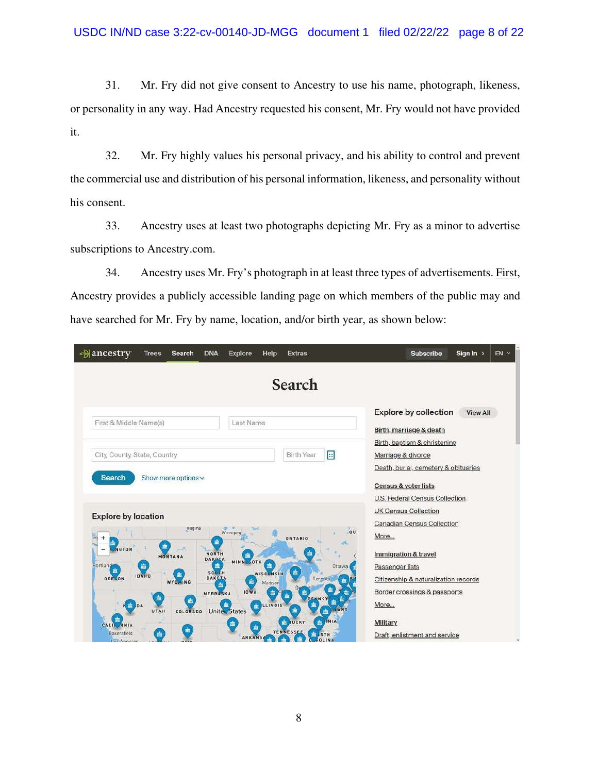### USDC IN/ND case 3:22-cv-00140-JD-MGG document 1 filed 02/22/22 page 8 of 22

31. Mr. Fry did not give consent to Ancestry to use his name, photograph, likeness, or personality in any way. Had Ancestry requested his consent, Mr. Fry would not have provided it.

32. Mr. Fry highly values his personal privacy, and his ability to control and prevent the commercial use and distribution of his personal information, likeness, and personality without his consent.

33. Ancestry uses at least two photographs depicting Mr. Fry as a minor to advertise subscriptions to Ancestry.com.

34. Ancestry uses Mr. Fry's photograph in at least three types of advertisements. First, Ancestry provides a publicly accessible landing page on which members of the public may and have searched for Mr. Fry by name, location, and/or birth year, as shown below:

| <b>Mancestry</b><br><b>Trees</b>                                  | <b>DNA</b><br>Search                            | Help<br><b>Explore</b>                           | <b>Extras</b>                                                    | Sign $\ln$ ><br>$EN$ $\sim$<br><b>Subscribe</b>                                            |
|-------------------------------------------------------------------|-------------------------------------------------|--------------------------------------------------|------------------------------------------------------------------|--------------------------------------------------------------------------------------------|
|                                                                   |                                                 |                                                  | Search                                                           |                                                                                            |
| First & Middle Name(s)                                            |                                                 | Last Name                                        |                                                                  | <b>Explore by collection</b><br><b>View All</b><br>Birth, marriage & death                 |
| City, County, State, Country                                      |                                                 |                                                  | $\boxed{4}$<br><b>Birth Year</b>                                 | Birth, baptism & christening<br>Marriage & divorce<br>Death, burial, cemetery & obituaries |
| <b>Search</b>                                                     | Show more options v                             |                                                  |                                                                  | Census & voter lists<br>U.S. Federal Census Collection                                     |
| <b>Explore by location</b><br>m                                   | Regina                                          | Winnipeg                                         | ou<br><b>ONTARIO</b>                                             | <b>UK Census Collection</b><br><b>Canadian Census Collection</b><br>More                   |
| m<br>NGTON<br>Portland<br>肅<br><b>IDAHO</b>                       | NORTH<br>MONTANA<br>DAKOTA<br>衁<br><b>50LTH</b> | MINNLSOTA<br>击<br><b>WISCONSIN</b>               | Ottawa<br>寙                                                      | Immigration & travel<br>Passenger lists                                                    |
| OREGON<br>寙<br>$m$ DA                                             | <b>DAKOIA</b><br>WYOMING<br>NEBRASKA<br>盍       | 寙<br>Madison<br><b>IOWA</b><br>盍<br>LLINOIS<br>盍 | Toronto<br>LAND<br>盍                                             | Citizenship & naturalization records<br>Border crossings & passports<br>More               |
| UTAH<br>面<br>CALIL RNIA<br><b>Bakersfield</b><br>寙<br>Los Annalas | <b>COLORADO</b>                                 | Uniter States<br>血<br><b>ARKANS</b>              | 盀<br>INIA<br><b>FUCKY</b><br>盍<br><b>TENNESSE</b><br>盍<br>ROLINA | <b>Military</b><br>Draft, enlistment and service                                           |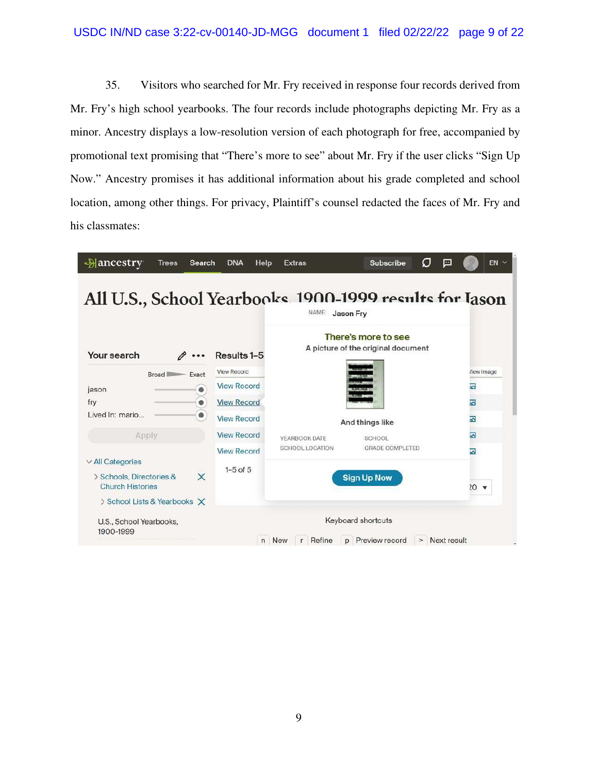## USDC IN/ND case 3:22-cv-00140-JD-MGG document 1 filed 02/22/22 page 9 of 22

35. Visitors who searched for Mr. Fry received in response four records derived from Mr. Fry's high school yearbooks. The four records include photographs depicting Mr. Fry as a minor. Ancestry displays a low-resolution version of each photograph for free, accompanied by promotional text promising that "There's more to see" about Mr. Fry if the user clicks "Sign Up Now." Ancestry promises it has additional information about his grade completed and school location, among other things. For privacy, Plaintiff's counsel redacted the faces of Mr. Fry and his classmates:

|                                                                 |                    | NAME:                  | All U.S., School Yearbooks 1900-1999 results for Jason<br>Jason Fry |                         |
|-----------------------------------------------------------------|--------------------|------------------------|---------------------------------------------------------------------|-------------------------|
| Your search                                                     | Results 1-5        |                        | There's more to see<br>A picture of the original document           |                         |
| Exact<br>Broad I                                                | <b>View Record</b> |                        |                                                                     | <b>/iew</b> Image       |
| $\bullet$<br>jason                                              | <b>View Record</b> |                        |                                                                     | $\overline{\mathbf{z}}$ |
| $\bullet$<br>fry                                                | <b>View Record</b> |                        |                                                                     | 조                       |
| Lived In: mario<br>$\bullet$                                    | <b>View Record</b> |                        | And things like                                                     | 巫                       |
| Apply                                                           | <b>View Record</b> | YEARBOOK DATE          | <b>SCHOOL</b>                                                       | 図                       |
|                                                                 | <b>View Record</b> | <b>SCHOOL LOCATION</b> | <b>GRADE COMPLETED</b>                                              | 囜                       |
| $\vee$ All Categories                                           | $1-5$ of $5$       |                        |                                                                     |                         |
| $\times$<br>> Schools, Directories &<br><b>Church Histories</b> |                    |                        | <b>Sign Up Now</b>                                                  | $20 - $                 |
| > School Lists & Yearbooks X                                    |                    |                        |                                                                     |                         |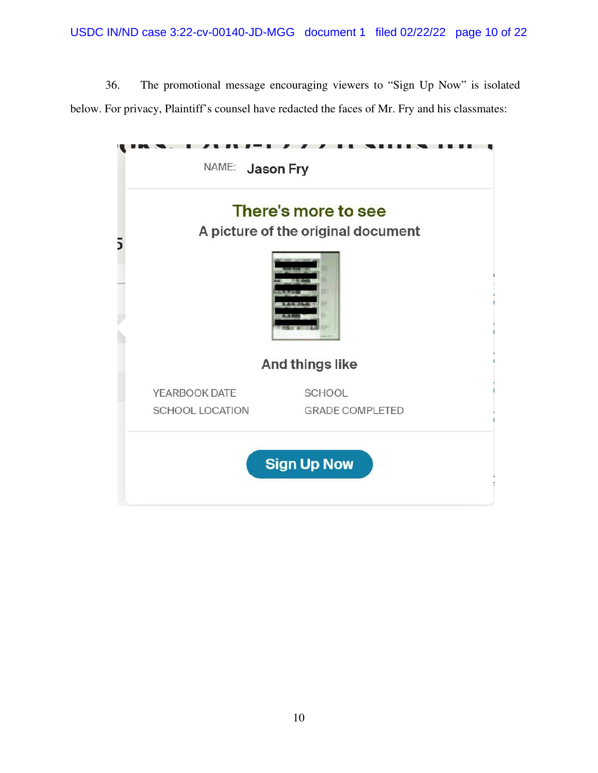36. The promotional message encouraging viewers to "Sign Up Now" is isolated below. For privacy, Plaintiff's counsel have redacted the faces of Mr. Fry and his classmates:

|                        | There's more to see                |
|------------------------|------------------------------------|
|                        | A picture of the original document |
|                        | And things like                    |
| YEARBOOK DATE          | SCHOOL                             |
| <b>SCHOOL LOCATION</b> | <b>GRADE COMPLETED</b>             |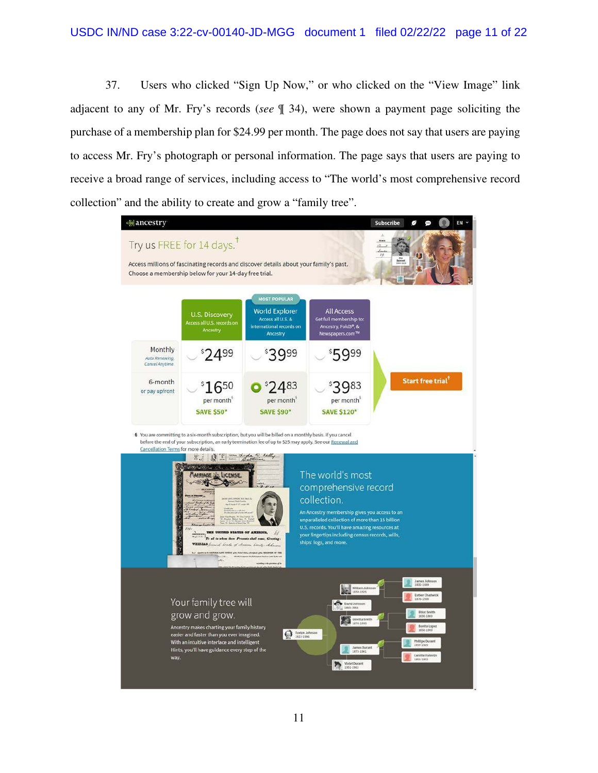37. Users who clicked "Sign Up Now," or who clicked on the "View Image" link adjacent to any of Mr. Fry's records (*see* ¶ 34), were shown a payment page soliciting the purchase of a membership plan for \$24.99 per month. The page does not say that users are paying to access Mr. Fry's photograph or personal information. The page says that users are paying to receive a broad range of services, including access to "The world's most comprehensive record collection" and the ability to create and grow a "family tree".

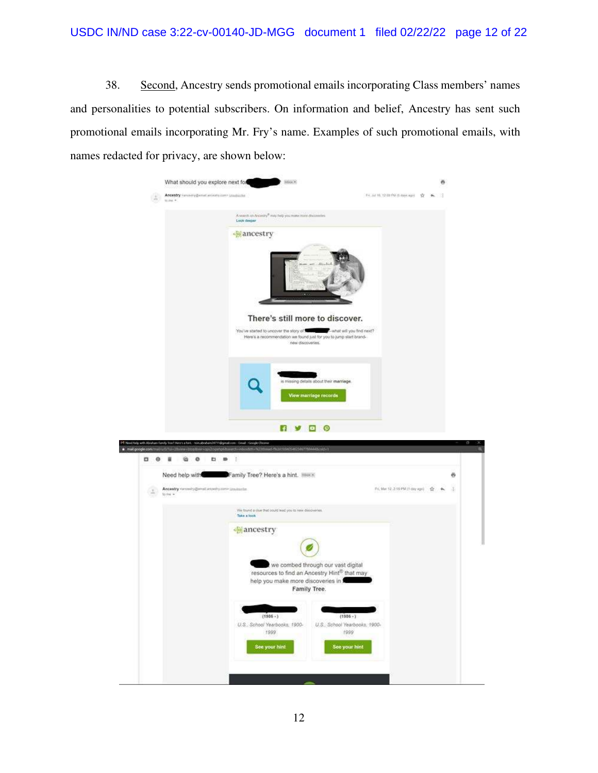38. Second, Ancestry sends promotional emails incorporating Class members' names and personalities to potential subscribers. On information and belief, Ancestry has sent such promotional emails incorporating Mr. Fry's name. Examples of such promotional emails, with names redacted for privacy, are shown below:

|    | What should you explore next for                               | <b>Mark</b>                                                                                                                                                  |                                                      | a |
|----|----------------------------------------------------------------|--------------------------------------------------------------------------------------------------------------------------------------------------------------|------------------------------------------------------|---|
|    | Ancesby concerty@entel.wickety.com> (madsicilis)               |                                                                                                                                                              | FILM TO TEST CHRISTIANS RISK SECTION                 |   |
|    |                                                                | A search on Ancientry® may belp you make more discoveries<br><b>Luck deeper</b>                                                                              |                                                      |   |
|    |                                                                | <b>Mancestry</b>                                                                                                                                             |                                                      |   |
|    |                                                                | There's still more to discover.                                                                                                                              | "Pon onli you find next?"                            |   |
|    |                                                                | You've started to uncover the story of the start will you find net<br>Here's a recommendation we found just for you to jump start brand-<br>new discoveries. |                                                      |   |
|    |                                                                |                                                                                                                                                              |                                                      |   |
|    |                                                                | is missing details about their marriage.<br>View marriage records                                                                                            |                                                      |   |
|    |                                                                |                                                                                                                                                              |                                                      |   |
|    | ify Tour! Hours a host - to                                    | □ ⊙<br>Ŧ                                                                                                                                                     |                                                      |   |
| 00 | ü<br>a<br>$\circ$<br>D<br>- 10                                 | STATE-MOVEMENT MATTEMAAL ALLE<br>Ŧ                                                                                                                           |                                                      |   |
|    |                                                                |                                                                                                                                                              |                                                      |   |
|    | Need help with                                                 | Family Tree? Here's a hint. The K                                                                                                                            |                                                      | ë |
|    |                                                                |                                                                                                                                                              |                                                      |   |
|    | Assestry variously@ensitesselvy.com> travelante.<br>$16 + 6 =$ |                                                                                                                                                              | Pri, Mar 12, 2.15 PM (1-day age) 合 4                 | 遥 |
|    |                                                                | We found a clue that could head you to new discoveries.<br>Take a look                                                                                       |                                                      |   |
|    |                                                                | <b>Mancestry</b>                                                                                                                                             |                                                      |   |
|    |                                                                |                                                                                                                                                              |                                                      |   |
|    |                                                                | we combed through our vast digital<br>resources to find an Ancestry Hint® that may<br>help you make more discoveries in<br>Family Tree.                      |                                                      |   |
|    |                                                                | $(1986 - )$<br>U.S., School Yearbooks, 1900-<br>1999                                                                                                         | $(1986 - )$<br>U.S., School Yearbooks, 1900-<br>1999 |   |
|    |                                                                | See your hint                                                                                                                                                | See your hint                                        |   |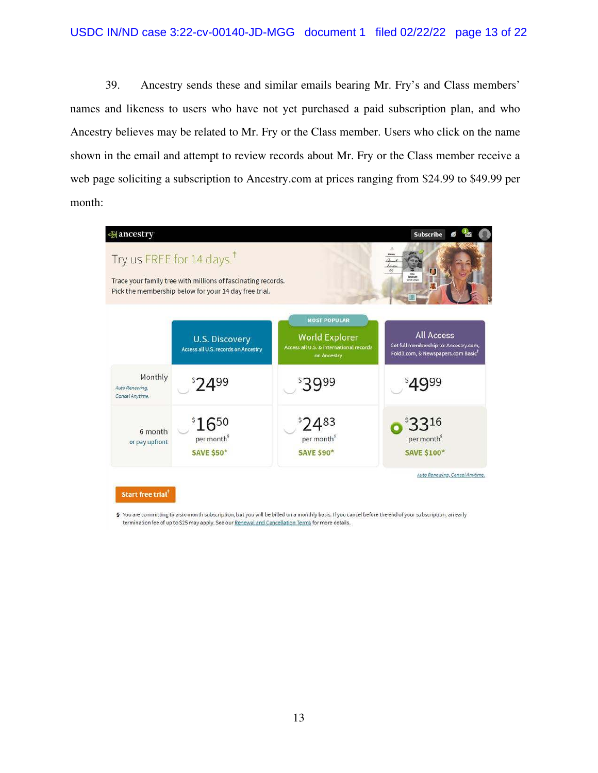39. Ancestry sends these and similar emails bearing Mr. Fry's and Class members' names and likeness to users who have not yet purchased a paid subscription plan, and who Ancestry believes may be related to Mr. Fry or the Class member. Users who click on the name shown in the email and attempt to review records about Mr. Fry or the Class member receive a web page soliciting a subscription to Ancestry.com at prices ranging from \$24.99 to \$49.99 per month:



§ You are committing to a six-month subscription, but you will be billed on a monthly basis. If you cancel before the end of your subscription, an early termination fee of up to \$25 may apply. See our Renewal and Cancellation Terms for more details.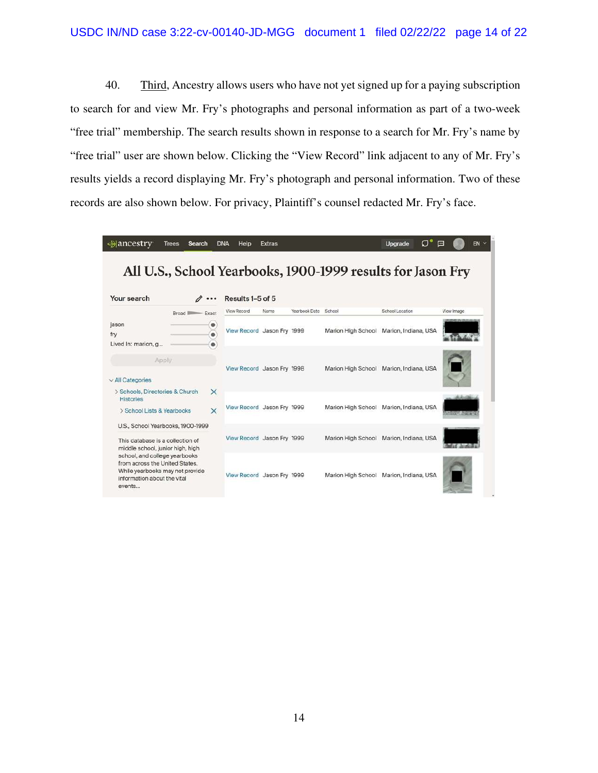40. Third, Ancestry allows users who have not yet signed up for a paying subscription to search for and view Mr. Fry's photographs and personal information as part of a two-week "free trial" membership. The search results shown in response to a search for Mr. Fry's name by "free trial" user are shown below. Clicking the "View Record" link adjacent to any of Mr. Fry's results yields a record displaying Mr. Fry's photograph and personal information. Two of these records are also shown below. For privacy, Plaintiff's counsel redacted Mr. Fry's face.

| →ancestry                                                                                                                                                                       | <b>Trees</b><br><b>Search</b> |                   | <b>DNA</b><br>Help         | <b>Extras</b> |               |        | O.<br>Upgrade                                               | $EN$ $\sim$<br>囸   |
|---------------------------------------------------------------------------------------------------------------------------------------------------------------------------------|-------------------------------|-------------------|----------------------------|---------------|---------------|--------|-------------------------------------------------------------|--------------------|
|                                                                                                                                                                                 |                               |                   |                            |               |               |        | All U.S., School Yearbooks, 1900-1999 results for Jason Fry |                    |
| Your search                                                                                                                                                                     |                               |                   | Results 1-5 of 5           |               |               |        |                                                             |                    |
|                                                                                                                                                                                 | Broad                         | Exact             | View Record                | Name          | Yearbook Date | School | School Location                                             | View Image         |
| jason<br>fry<br>Lived In: marion, g                                                                                                                                             |                               | $\circ$<br>៝<br>٠ | View Record Jason Fry 1999 |               |               |        | Marion High School Marion, Indiana, USA                     | 光度速度的混乱            |
| Apply<br>$\vee$ All Categories                                                                                                                                                  |                               |                   | View Record Jason Fry 1998 |               |               |        | Marion High School Marion, Indiana, USA                     |                    |
| > Schools, Directories & Church<br><b>Histories</b>                                                                                                                             |                               | ×                 | View Record Jason Fry 1999 |               |               |        | Marion High School Marion, Indiana, USA                     |                    |
| > School Lists & Yearbooks                                                                                                                                                      |                               | $\times$          |                            |               |               |        |                                                             | <b>Biogue Adam</b> |
| U.S., School Yearbooks, 1900-1999<br>This database is a collection of                                                                                                           |                               |                   | View Record Jason Fry 1999 |               |               |        | Marion High School Marion, Indiana, USA                     |                    |
| middle school, junior high, high<br>school, and college yearbooks<br>from across the United States.<br>While yearbooks may not provide<br>information about the vital<br>events |                               |                   | View Record Jason Fry 1999 |               |               |        | Marion High School Marion, Indiana, USA                     |                    |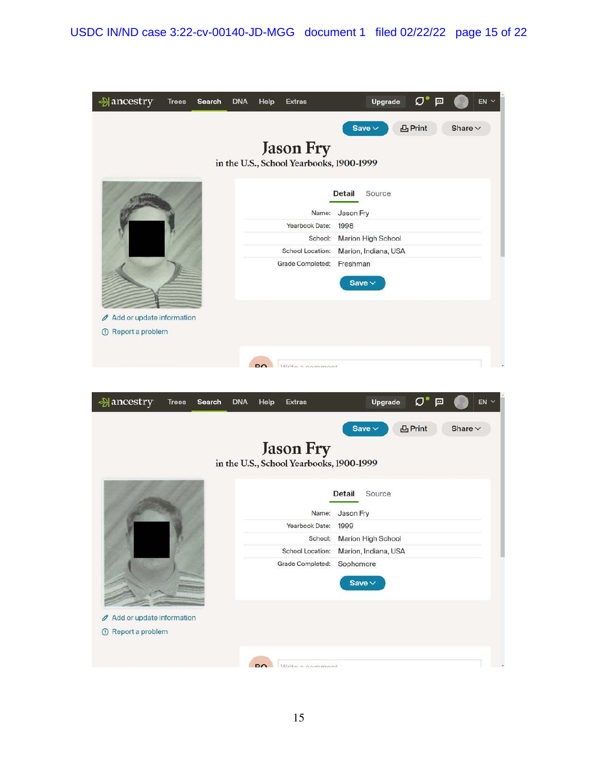| →ancestry                                                   | <b>Trees</b> | Search | <b>DNA</b> | Help         | <b>Extras</b>                                                                                 | Upgrade                                                                                                        | $\mathcal{O}^\bullet$<br>戸 | $EN$ $\sim$  |
|-------------------------------------------------------------|--------------|--------|------------|--------------|-----------------------------------------------------------------------------------------------|----------------------------------------------------------------------------------------------------------------|----------------------------|--------------|
|                                                             |              |        |            |              | <b>Jason Fry</b><br>in the U.S., School Yearbooks, 1900-1999                                  | Save $\vee$                                                                                                    | 凸Print                     | Share $\vee$ |
| Add or update information<br>O<br><b>1</b> Report a problem |              |        |            | $\mathbf{p}$ | Name:<br>Yearbook Date:<br>School:<br>School Location:<br>Grade Completed:<br>Write a commont | Source<br>Detail<br>Jason Fry<br>1998<br>Marion High School<br>Marion, Indiana, USA<br>Freshman<br>Save $\vee$ |                            |              |
| →ancestry                                                   | <b>Trees</b> | Search | <b>DNA</b> | Help         | <b>Extras</b>                                                                                 | Upgrade                                                                                                        | $\sigma$<br>戸              | EN           |
|                                                             |              |        |            |              | <b>Jason Fry</b><br>in the U.S., School Yearbooks, 1900-1999                                  | Save $\vee$                                                                                                    | 凸Print                     | Share $\vee$ |
|                                                             |              |        |            |              | Yearbook Date: 1999<br>School:<br>School Location:<br>Grade Completed:                        | Source<br>Detail<br>Name: Jason Fry<br>Marion High School<br>Marion, Indiana, USA<br>Sophomore<br>Save $\vee$  |                            |              |
| Add or update information<br>O<br><b>1</b> Report a problem |              |        |            |              |                                                                                               |                                                                                                                |                            |              |
|                                                             |              |        |            | <b>DO</b>    | Write a commont                                                                               |                                                                                                                |                            |              |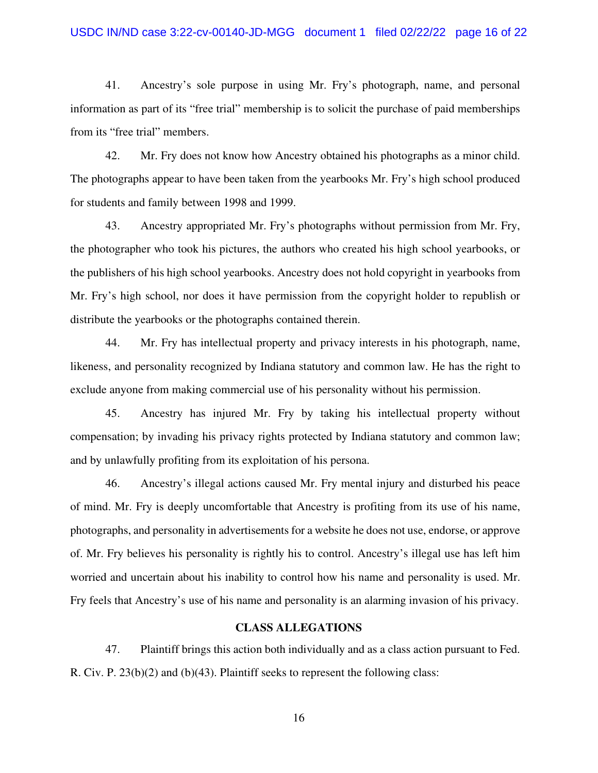#### USDC IN/ND case 3:22-cv-00140-JD-MGG document 1 filed 02/22/22 page 16 of 22

41. Ancestry's sole purpose in using Mr. Fry's photograph, name, and personal information as part of its "free trial" membership is to solicit the purchase of paid memberships from its "free trial" members.

42. Mr. Fry does not know how Ancestry obtained his photographs as a minor child. The photographs appear to have been taken from the yearbooks Mr. Fry's high school produced for students and family between 1998 and 1999.

43. Ancestry appropriated Mr. Fry's photographs without permission from Mr. Fry, the photographer who took his pictures, the authors who created his high school yearbooks, or the publishers of his high school yearbooks. Ancestry does not hold copyright in yearbooks from Mr. Fry's high school, nor does it have permission from the copyright holder to republish or distribute the yearbooks or the photographs contained therein.

44. Mr. Fry has intellectual property and privacy interests in his photograph, name, likeness, and personality recognized by Indiana statutory and common law. He has the right to exclude anyone from making commercial use of his personality without his permission.

45. Ancestry has injured Mr. Fry by taking his intellectual property without compensation; by invading his privacy rights protected by Indiana statutory and common law; and by unlawfully profiting from its exploitation of his persona.

46. Ancestry's illegal actions caused Mr. Fry mental injury and disturbed his peace of mind. Mr. Fry is deeply uncomfortable that Ancestry is profiting from its use of his name, photographs, and personality in advertisements for a website he does not use, endorse, or approve of. Mr. Fry believes his personality is rightly his to control. Ancestry's illegal use has left him worried and uncertain about his inability to control how his name and personality is used. Mr. Fry feels that Ancestry's use of his name and personality is an alarming invasion of his privacy.

### **CLASS ALLEGATIONS**

47. Plaintiff brings this action both individually and as a class action pursuant to Fed. R. Civ. P. 23(b)(2) and (b)(43). Plaintiff seeks to represent the following class: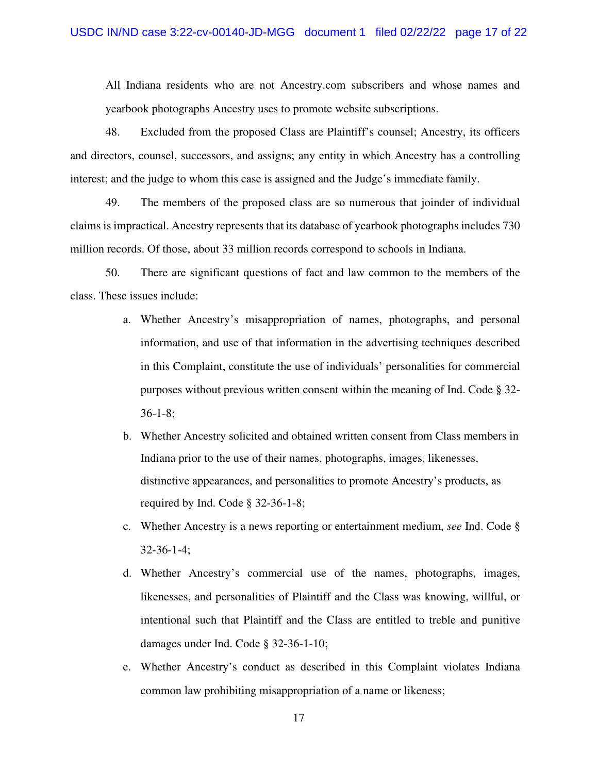All Indiana residents who are not Ancestry.com subscribers and whose names and yearbook photographs Ancestry uses to promote website subscriptions.

48. Excluded from the proposed Class are Plaintiff's counsel; Ancestry, its officers and directors, counsel, successors, and assigns; any entity in which Ancestry has a controlling interest; and the judge to whom this case is assigned and the Judge's immediate family.

49. The members of the proposed class are so numerous that joinder of individual claims is impractical. Ancestry represents that its database of yearbook photographs includes 730 million records. Of those, about 33 million records correspond to schools in Indiana.

50. There are significant questions of fact and law common to the members of the class. These issues include:

- a. Whether Ancestry's misappropriation of names, photographs, and personal information, and use of that information in the advertising techniques described in this Complaint, constitute the use of individuals' personalities for commercial purposes without previous written consent within the meaning of Ind. Code § 32- 36-1-8;
- b. Whether Ancestry solicited and obtained written consent from Class members in Indiana prior to the use of their names, photographs, images, likenesses, distinctive appearances, and personalities to promote Ancestry's products, as required by Ind. Code § 32-36-1-8;
- c. Whether Ancestry is a news reporting or entertainment medium, *see* Ind. Code § 32-36-1-4;
- d. Whether Ancestry's commercial use of the names, photographs, images, likenesses, and personalities of Plaintiff and the Class was knowing, willful, or intentional such that Plaintiff and the Class are entitled to treble and punitive damages under Ind. Code § 32-36-1-10;
- e. Whether Ancestry's conduct as described in this Complaint violates Indiana common law prohibiting misappropriation of a name or likeness;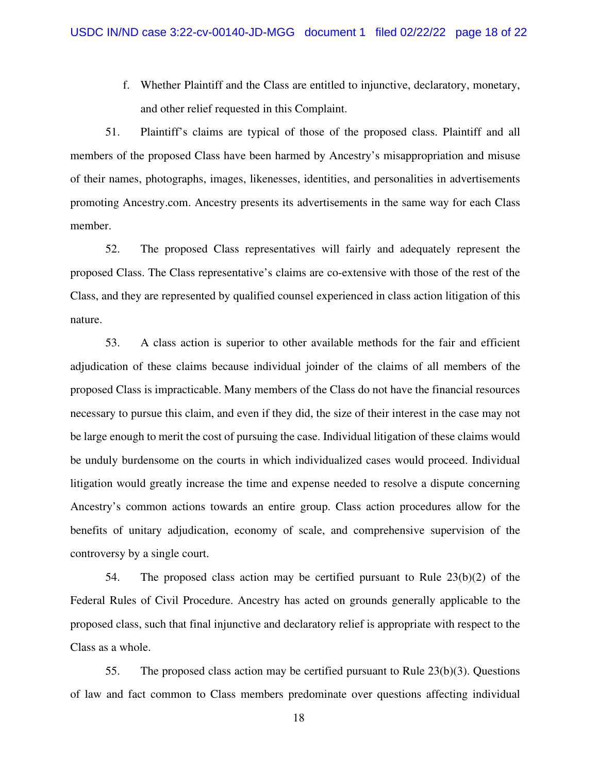f. Whether Plaintiff and the Class are entitled to injunctive, declaratory, monetary, and other relief requested in this Complaint.

51. Plaintiff's claims are typical of those of the proposed class. Plaintiff and all members of the proposed Class have been harmed by Ancestry's misappropriation and misuse of their names, photographs, images, likenesses, identities, and personalities in advertisements promoting Ancestry.com. Ancestry presents its advertisements in the same way for each Class member.

52. The proposed Class representatives will fairly and adequately represent the proposed Class. The Class representative's claims are co-extensive with those of the rest of the Class, and they are represented by qualified counsel experienced in class action litigation of this nature.

53. A class action is superior to other available methods for the fair and efficient adjudication of these claims because individual joinder of the claims of all members of the proposed Class is impracticable. Many members of the Class do not have the financial resources necessary to pursue this claim, and even if they did, the size of their interest in the case may not be large enough to merit the cost of pursuing the case. Individual litigation of these claims would be unduly burdensome on the courts in which individualized cases would proceed. Individual litigation would greatly increase the time and expense needed to resolve a dispute concerning Ancestry's common actions towards an entire group. Class action procedures allow for the benefits of unitary adjudication, economy of scale, and comprehensive supervision of the controversy by a single court.

54. The proposed class action may be certified pursuant to Rule 23(b)(2) of the Federal Rules of Civil Procedure. Ancestry has acted on grounds generally applicable to the proposed class, such that final injunctive and declaratory relief is appropriate with respect to the Class as a whole.

55. The proposed class action may be certified pursuant to Rule 23(b)(3). Questions of law and fact common to Class members predominate over questions affecting individual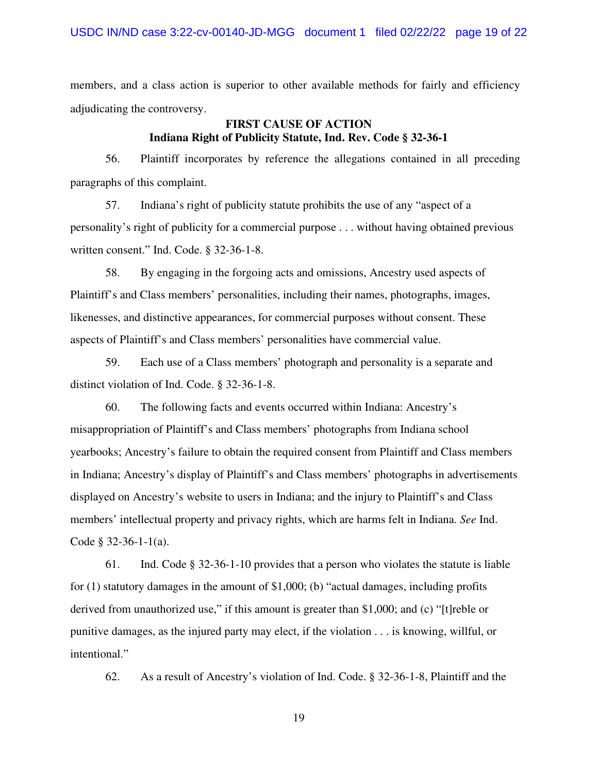members, and a class action is superior to other available methods for fairly and efficiency adjudicating the controversy.

## **FIRST CAUSE OF ACTION Indiana Right of Publicity Statute, Ind. Rev. Code § 32-36-1**

56. Plaintiff incorporates by reference the allegations contained in all preceding paragraphs of this complaint.

57. Indiana's right of publicity statute prohibits the use of any "aspect of a personality's right of publicity for a commercial purpose . . . without having obtained previous written consent." Ind. Code. § 32-36-1-8.

58. By engaging in the forgoing acts and omissions, Ancestry used aspects of Plaintiff's and Class members' personalities, including their names, photographs, images, likenesses, and distinctive appearances, for commercial purposes without consent. These aspects of Plaintiff's and Class members' personalities have commercial value.

59. Each use of a Class members' photograph and personality is a separate and distinct violation of Ind. Code. § 32-36-1-8.

60. The following facts and events occurred within Indiana: Ancestry's misappropriation of Plaintiff's and Class members' photographs from Indiana school yearbooks; Ancestry's failure to obtain the required consent from Plaintiff and Class members in Indiana; Ancestry's display of Plaintiff's and Class members' photographs in advertisements displayed on Ancestry's website to users in Indiana; and the injury to Plaintiff's and Class members' intellectual property and privacy rights, which are harms felt in Indiana. *See* Ind. Code § 32-36-1-1(a).

61. Ind. Code § 32-36-1-10 provides that a person who violates the statute is liable for (1) statutory damages in the amount of \$1,000; (b) "actual damages, including profits derived from unauthorized use," if this amount is greater than \$1,000; and (c) "[t]reble or punitive damages, as the injured party may elect, if the violation . . . is knowing, willful, or intentional."

62. As a result of Ancestry's violation of Ind. Code. § 32-36-1-8, Plaintiff and the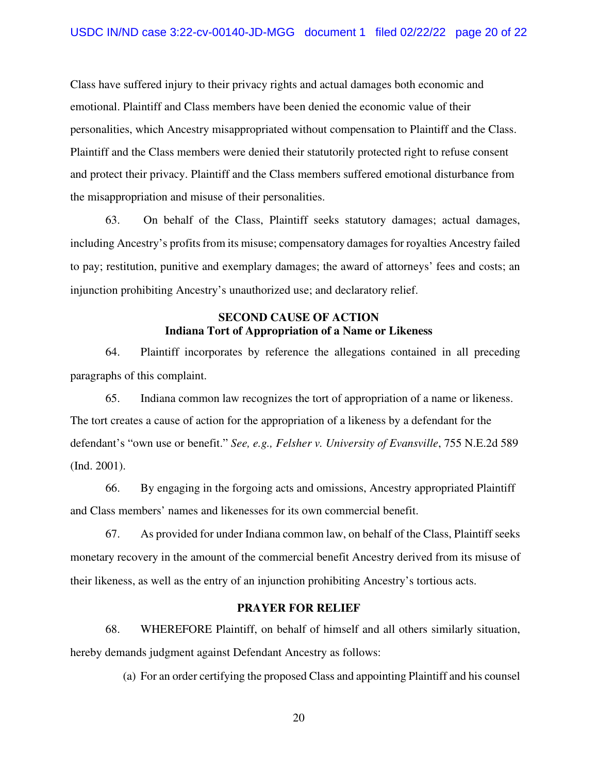Class have suffered injury to their privacy rights and actual damages both economic and emotional. Plaintiff and Class members have been denied the economic value of their personalities, which Ancestry misappropriated without compensation to Plaintiff and the Class. Plaintiff and the Class members were denied their statutorily protected right to refuse consent and protect their privacy. Plaintiff and the Class members suffered emotional disturbance from the misappropriation and misuse of their personalities.

63. On behalf of the Class, Plaintiff seeks statutory damages; actual damages, including Ancestry's profits from its misuse; compensatory damages for royalties Ancestry failed to pay; restitution, punitive and exemplary damages; the award of attorneys' fees and costs; an injunction prohibiting Ancestry's unauthorized use; and declaratory relief.

### **SECOND CAUSE OF ACTION Indiana Tort of Appropriation of a Name or Likeness**

64. Plaintiff incorporates by reference the allegations contained in all preceding paragraphs of this complaint.

65. Indiana common law recognizes the tort of appropriation of a name or likeness. The tort creates a cause of action for the appropriation of a likeness by a defendant for the defendant's "own use or benefit." *See, e.g., Felsher v. University of Evansville*, 755 N.E.2d 589 (Ind. 2001).

66. By engaging in the forgoing acts and omissions, Ancestry appropriated Plaintiff and Class members' names and likenesses for its own commercial benefit.

67. As provided for under Indiana common law, on behalf of the Class, Plaintiff seeks monetary recovery in the amount of the commercial benefit Ancestry derived from its misuse of their likeness, as well as the entry of an injunction prohibiting Ancestry's tortious acts.

#### **PRAYER FOR RELIEF**

68. WHEREFORE Plaintiff, on behalf of himself and all others similarly situation, hereby demands judgment against Defendant Ancestry as follows:

(a) For an order certifying the proposed Class and appointing Plaintiff and his counsel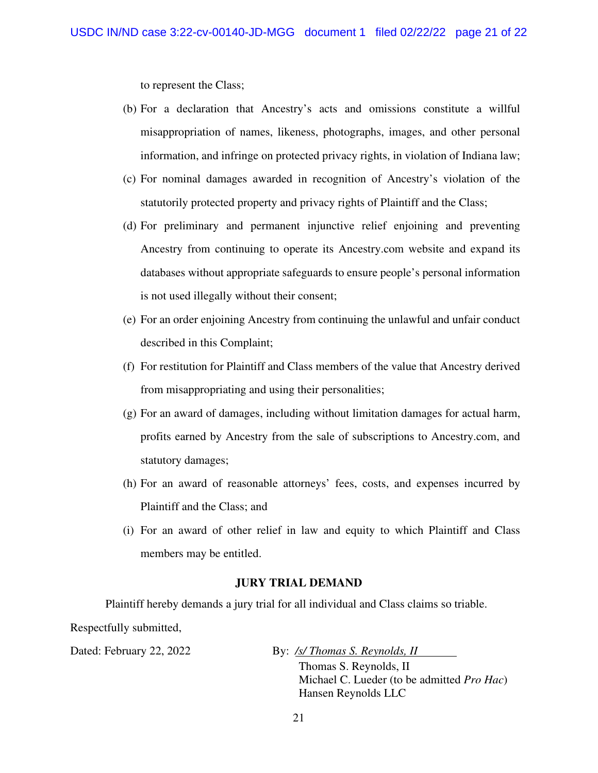to represent the Class;

- (b) For a declaration that Ancestry's acts and omissions constitute a willful misappropriation of names, likeness, photographs, images, and other personal information, and infringe on protected privacy rights, in violation of Indiana law;
- (c) For nominal damages awarded in recognition of Ancestry's violation of the statutorily protected property and privacy rights of Plaintiff and the Class;
- (d) For preliminary and permanent injunctive relief enjoining and preventing Ancestry from continuing to operate its Ancestry.com website and expand its databases without appropriate safeguards to ensure people's personal information is not used illegally without their consent;
- (e) For an order enjoining Ancestry from continuing the unlawful and unfair conduct described in this Complaint;
- (f) For restitution for Plaintiff and Class members of the value that Ancestry derived from misappropriating and using their personalities;
- (g) For an award of damages, including without limitation damages for actual harm, profits earned by Ancestry from the sale of subscriptions to Ancestry.com, and statutory damages;
- (h) For an award of reasonable attorneys' fees, costs, and expenses incurred by Plaintiff and the Class; and
- (i) For an award of other relief in law and equity to which Plaintiff and Class members may be entitled.

#### **JURY TRIAL DEMAND**

Plaintiff hereby demands a jury trial for all individual and Class claims so triable. Respectfully submitted,

Dated: February 22, 2022 By: */s/ Thomas S. Reynolds, II* 

Thomas S. Reynolds, II Michael C. Lueder (to be admitted *Pro Hac*) Hansen Reynolds LLC